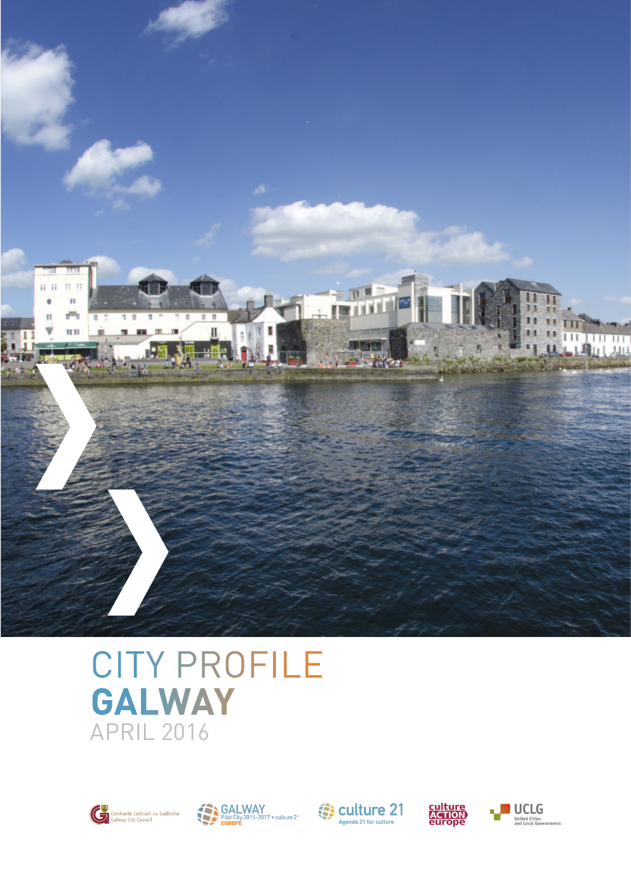

### CITY PROFILE **GALWAY** APRIL 2016









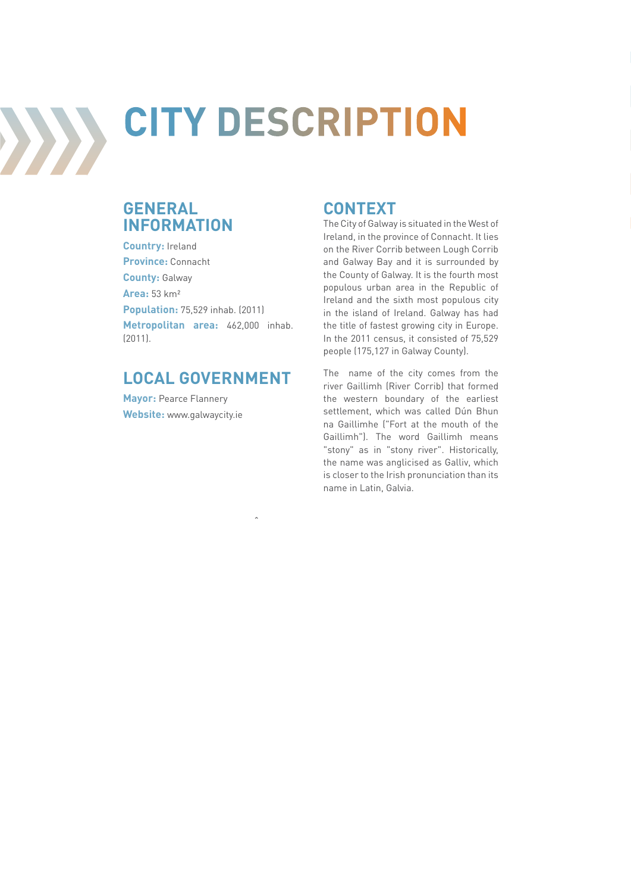

# **CITY DESCRIPTION**

#### **GENERAL INFORMATION**

**Country:** Ireland **Province:** Connacht **County:** Galway **Area:** 53 km² **Population:** 75,529 inhab. (2011) **Metropolitan area:** 462,000 inhab. (2011).

#### **LOCAL GOVERNMENT**

**Mayor: Pearce Flannery Website:** www.galwaycity.ie

#### **CONTEXT**

The City of Galway is situated in the West of Ireland, in the province of Connacht. It lies on the River Corrib between Lough Corrib and Galway Bay and it is surrounded by the County of Galway. It is the fourth most populous urban area in the Republic of Ireland and the sixth most populous city in the island of Ireland. Galway has had the title of fastest growing city in Europe. In the 2011 census, it consisted of 75,529 people (175,127 in Galway County).

The name of the city comes from the river Gaillimh (River Corrib) that formed the western boundary of the earliest settlement, which was called Dún Bhun na Gaillimhe ("Fort at the mouth of the Gaillimh"). The word Gaillimh means "stony" as in "stony river". Historically, the name was anglicised as Galliv, which is closer to the Irish pronunciation than its name in Latin, Galvia.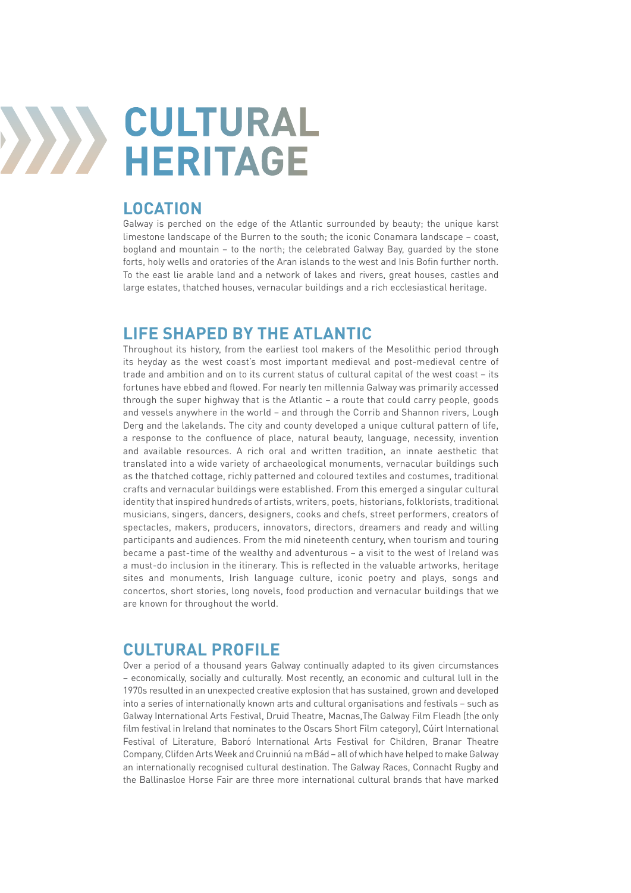

#### **LOCATION**

Galway is perched on the edge of the Atlantic surrounded by beauty; the unique karst limestone landscape of the Burren to the south; the iconic Conamara landscape – coast, bogland and mountain – to the north; the celebrated Galway Bay, guarded by the stone forts, holy wells and oratories of the Aran islands to the west and Inis Bofin further north. To the east lie arable land and a network of lakes and rivers, great houses, castles and large estates, thatched houses, vernacular buildings and a rich ecclesiastical heritage.

#### **LIFE SHAPED BY THE ATLANTIC**

Throughout its history, from the earliest tool makers of the Mesolithic period through its heyday as the west coast's most important medieval and post-medieval centre of trade and ambition and on to its current status of cultural capital of the west coast – its fortunes have ebbed and flowed. For nearly ten millennia Galway was primarily accessed through the super highway that is the Atlantic – a route that could carry people, goods and vessels anywhere in the world – and through the Corrib and Shannon rivers, Lough Derg and the lakelands. The city and county developed a unique cultural pattern of life, a response to the confluence of place, natural beauty, language, necessity, invention and available resources. A rich oral and written tradition, an innate aesthetic that translated into a wide variety of archaeological monuments, vernacular buildings such as the thatched cottage, richly patterned and coloured textiles and costumes, traditional crafts and vernacular buildings were established. From this emerged a singular cultural identity that inspired hundreds of artists, writers, poets, historians, folklorists, traditional musicians, singers, dancers, designers, cooks and chefs, street performers, creators of spectacles, makers, producers, innovators, directors, dreamers and ready and willing participants and audiences. From the mid nineteenth century, when tourism and touring became a past-time of the wealthy and adventurous – a visit to the west of Ireland was a must-do inclusion in the itinerary. This is reflected in the valuable artworks, heritage sites and monuments, Irish language culture, iconic poetry and plays, songs and concertos, short stories, long novels, food production and vernacular buildings that we are known for throughout the world.

#### **CULTURAL PROFILE**

Over a period of a thousand years Galway continually adapted to its given circumstances – economically, socially and culturally. Most recently, an economic and cultural lull in the 1970s resulted in an unexpected creative explosion that has sustained, grown and developed into a series of internationally known arts and cultural organisations and festivals – such as Galway International Arts Festival, Druid Theatre, Macnas,The Galway Film Fleadh (the only film festival in Ireland that nominates to the Oscars Short Film category), Cúirt International Festival of Literature, Baboró International Arts Festival for Children, Branar Theatre Company, Clifden Arts Week and Cruinniú na mBád – all of which have helped to make Galway an internationally recognised cultural destination. The Galway Races, Connacht Rugby and the Ballinasloe Horse Fair are three more international cultural brands that have marked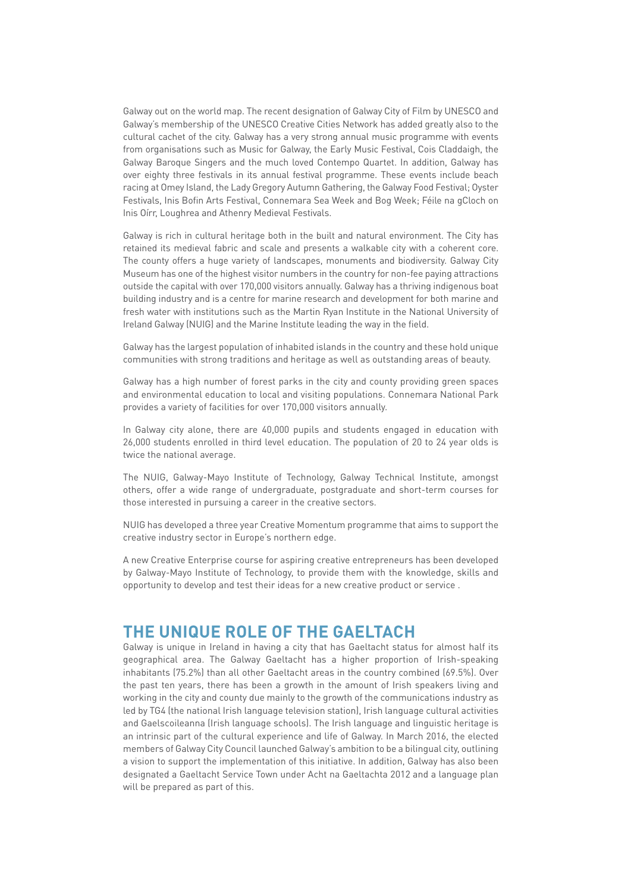Galway out on the world map. The recent designation of Galway City of Film by UNESCO and Galway's membership of the UNESCO Creative Cities Network has added greatly also to the cultural cachet of the city. Galway has a very strong annual music programme with events from organisations such as Music for Galway, the Early Music Festival, Cois Claddaigh, the Galway Baroque Singers and the much loved Contempo Quartet. In addition, Galway has over eighty three festivals in its annual festival programme. These events include beach racing at Omey Island, the Lady Gregory Autumn Gathering, the Galway Food Festival; Oyster Festivals, Inis Bofin Arts Festival, Connemara Sea Week and Bog Week; Féile na gCloch on Inis Oírr, Loughrea and Athenry Medieval Festivals.

Galway is rich in cultural heritage both in the built and natural environment. The City has retained its medieval fabric and scale and presents a walkable city with a coherent core. The county offers a huge variety of landscapes, monuments and biodiversity. Galway City Museum has one of the highest visitor numbers in the country for non-fee paying attractions outside the capital with over 170,000 visitors annually. Galway has a thriving indigenous boat building industry and is a centre for marine research and development for both marine and fresh water with institutions such as the Martin Ryan Institute in the National University of Ireland Galway (NUIG) and the Marine Institute leading the way in the field.

Galway has the largest population of inhabited islands in the country and these hold unique communities with strong traditions and heritage as well as outstanding areas of beauty.

Galway has a high number of forest parks in the city and county providing green spaces and environmental education to local and visiting populations. Connemara National Park provides a variety of facilities for over 170,000 visitors annually.

In Galway city alone, there are 40,000 pupils and students engaged in education with 26,000 students enrolled in third level education. The population of 20 to 24 year olds is twice the national average.

The NUIG, Galway-Mayo Institute of Technology, Galway Technical Institute, amongst others, offer a wide range of undergraduate, postgraduate and short-term courses for those interested in pursuing a career in the creative sectors.

NUIG has developed a three year Creative Momentum programme that aims to support the creative industry sector in Europe's northern edge.

A new Creative Enterprise course for aspiring creative entrepreneurs has been developed by Galway-Mayo Institute of Technology, to provide them with the knowledge, skills and opportunity to develop and test their ideas for a new creative product or service .

#### **THE UNIQUE ROLE OF THE GAELTACH**

Galway is unique in Ireland in having a city that has Gaeltacht status for almost half its geographical area. The Galway Gaeltacht has a higher proportion of Irish-speaking inhabitants (75.2%) than all other Gaeltacht areas in the country combined (69.5%). Over the past ten years, there has been a growth in the amount of Irish speakers living and working in the city and county due mainly to the growth of the communications industry as led by TG4 (the national Irish language television station), Irish language cultural activities and Gaelscoileanna (Irish language schools). The Irish language and linguistic heritage is an intrinsic part of the cultural experience and life of Galway. In March 2016, the elected members of Galway City Council launched Galway's ambition to be a bilingual city, outlining a vision to support the implementation of this initiative. In addition, Galway has also been designated a Gaeltacht Service Town under Acht na Gaeltachta 2012 and a language plan will be prepared as part of this.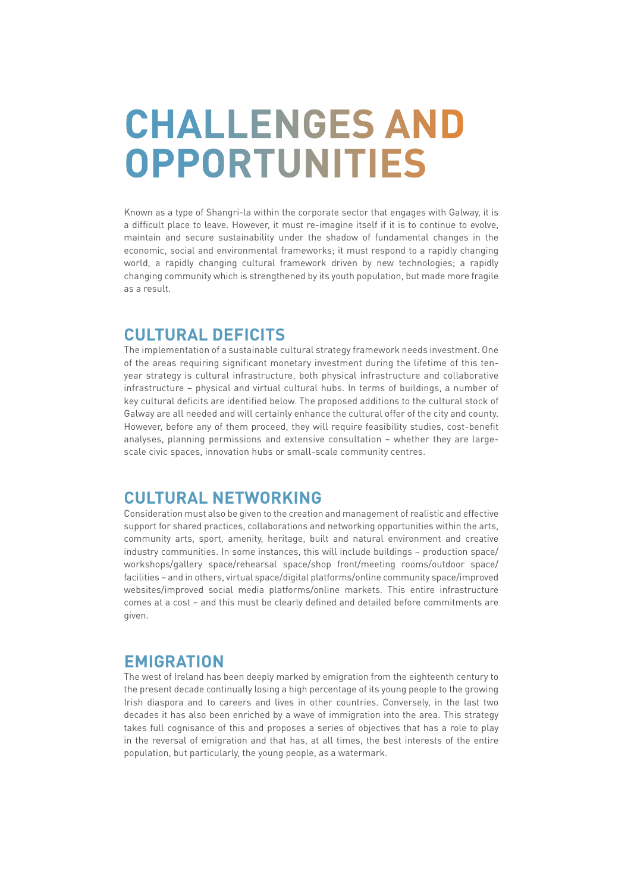## **CHALLENGES AND OPPORTUNITIES**

Known as a type of Shangri-la within the corporate sector that engages with Galway, it is a difficult place to leave. However, it must re-imagine itself if it is to continue to evolve, maintain and secure sustainability under the shadow of fundamental changes in the economic, social and environmental frameworks; it must respond to a rapidly changing world, a rapidly changing cultural framework driven by new technologies; a rapidly changing community which is strengthened by its youth population, but made more fragile as a result.

#### **CULTURAL DEFICITS**

The implementation of a sustainable cultural strategy framework needs investment. One of the areas requiring significant monetary investment during the lifetime of this tenyear strategy is cultural infrastructure, both physical infrastructure and collaborative infrastructure – physical and virtual cultural hubs. In terms of buildings, a number of key cultural deficits are identified below. The proposed additions to the cultural stock of Galway are all needed and will certainly enhance the cultural offer of the city and county. However, before any of them proceed, they will require feasibility studies, cost-benefit analyses, planning permissions and extensive consultation – whether they are largescale civic spaces, innovation hubs or small-scale community centres.

#### **CULTURAL NETWORKING**

Consideration must also be given to the creation and management of realistic and effective support for shared practices, collaborations and networking opportunities within the arts, community arts, sport, amenity, heritage, built and natural environment and creative industry communities. In some instances, this will include buildings – production space/ workshops/gallery space/rehearsal space/shop front/meeting rooms/outdoor space/ facilities – and in others, virtual space/digital platforms/online community space/improved websites/improved social media platforms/online markets. This entire infrastructure comes at a cost – and this must be clearly defined and detailed before commitments are given.

#### **EMIGRATION**

The west of Ireland has been deeply marked by emigration from the eighteenth century to the present decade continually losing a high percentage of its young people to the growing Irish diaspora and to careers and lives in other countries. Conversely, in the last two decades it has also been enriched by a wave of immigration into the area. This strategy takes full cognisance of this and proposes a series of objectives that has a role to play in the reversal of emigration and that has, at all times, the best interests of the entire population, but particularly, the young people, as a watermark.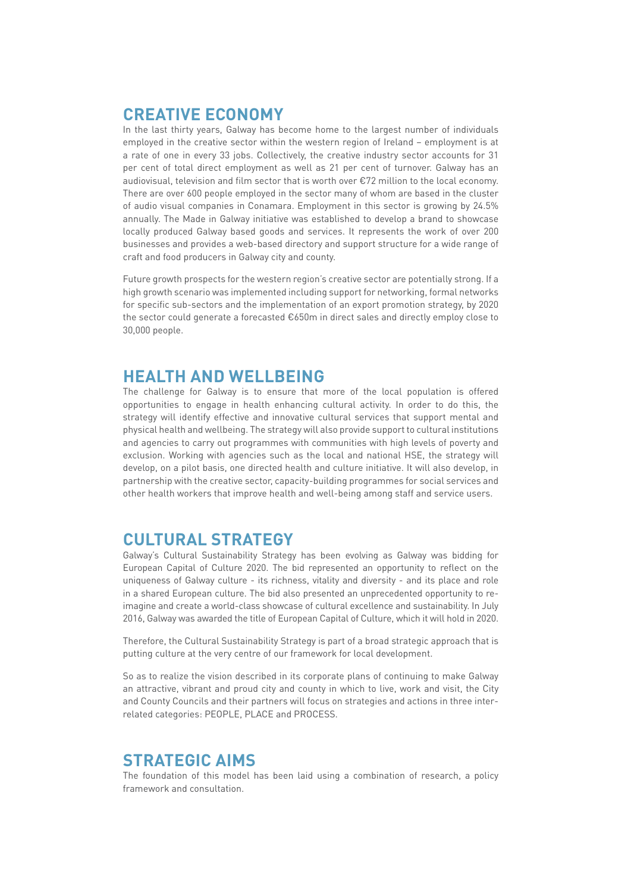#### **CREATIVE ECONOMY**

In the last thirty years, Galway has become home to the largest number of individuals employed in the creative sector within the western region of Ireland – employment is at a rate of one in every 33 jobs. Collectively, the creative industry sector accounts for 31 per cent of total direct employment as well as 21 per cent of turnover. Galway has an audiovisual, television and film sector that is worth over €72 million to the local economy. There are over 600 people employed in the sector many of whom are based in the cluster of audio visual companies in Conamara. Employment in this sector is growing by 24.5% annually. The Made in Galway initiative was established to develop a brand to showcase locally produced Galway based goods and services. It represents the work of over 200 businesses and provides a web-based directory and support structure for a wide range of craft and food producers in Galway city and county.

Future growth prospects for the western region's creative sector are potentially strong. If a high growth scenario was implemented including support for networking, formal networks for specific sub-sectors and the implementation of an export promotion strategy, by 2020 the sector could generate a forecasted €650m in direct sales and directly employ close to 30,000 people.

#### **HEALTH AND WELLBEING**

The challenge for Galway is to ensure that more of the local population is offered opportunities to engage in health enhancing cultural activity. In order to do this, the strategy will identify effective and innovative cultural services that support mental and physical health and wellbeing. The strategy will also provide support to cultural institutions and agencies to carry out programmes with communities with high levels of poverty and exclusion. Working with agencies such as the local and national HSE, the strategy will develop, on a pilot basis, one directed health and culture initiative. It will also develop, in partnership with the creative sector, capacity-building programmes for social services and other health workers that improve health and well-being among staff and service users.

#### **CULTURAL STRATEGY**

Galway's Cultural Sustainability Strategy has been evolving as Galway was bidding for European Capital of Culture 2020. The bid represented an opportunity to reflect on the uniqueness of Galway culture - its richness, vitality and diversity - and its place and role in a shared European culture. The bid also presented an unprecedented opportunity to reimagine and create a world-class showcase of cultural excellence and sustainability. In July 2016, Galway was awarded the title of European Capital of Culture, which it will hold in 2020.

Therefore, the Cultural Sustainability Strategy is part of a broad strategic approach that is putting culture at the very centre of our framework for local development.

So as to realize the vision described in its corporate plans of continuing to make Galway an attractive, vibrant and proud city and county in which to live, work and visit, the City and County Councils and their partners will focus on strategies and actions in three interrelated categories: PEOPLE, PLACE and PROCESS.

#### **STRATEGIC AIMS**

The foundation of this model has been laid using a combination of research, a policy framework and consultation.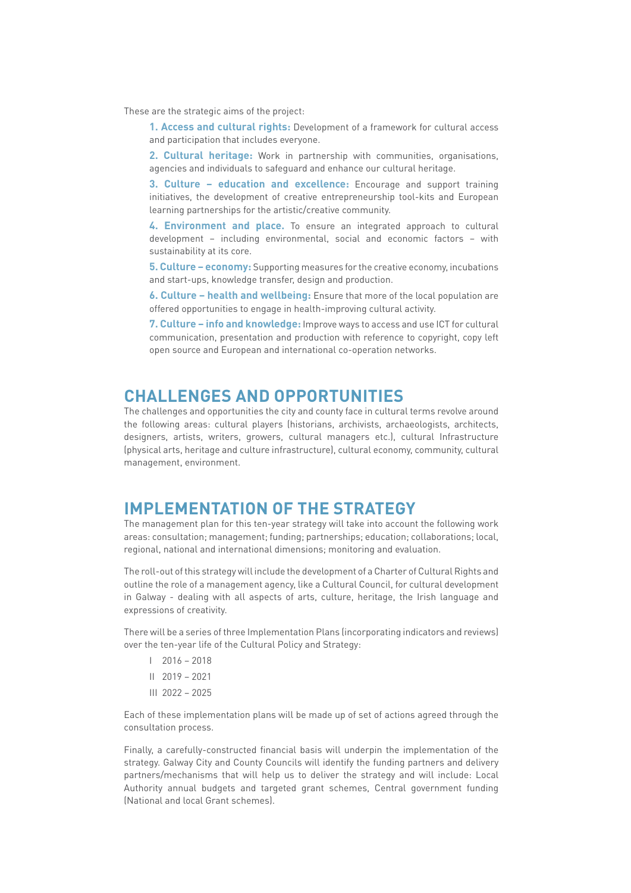These are the strategic aims of the project:

**1. Access and cultural rights:** Development of a framework for cultural access and participation that includes everyone.

**2. Cultural heritage:** Work in partnership with communities, organisations, agencies and individuals to safeguard and enhance our cultural heritage.

**3. Culture – education and excellence:** Encourage and support training initiatives, the development of creative entrepreneurship tool-kits and European learning partnerships for the artistic/creative community.

**4. Environment and place.** To ensure an integrated approach to cultural development – including environmental, social and economic factors – with sustainability at its core.

**5. Culture – economy:** Supporting measures for the creative economy, incubations and start-ups, knowledge transfer, design and production.

**6. Culture – health and wellbeing:** Ensure that more of the local population are offered opportunities to engage in health-improving cultural activity.

**7. Culture – info and knowledge:** Improve ways to access and use ICT for cultural communication, presentation and production with reference to copyright, copy left open source and European and international co-operation networks.

#### **CHALLENGES AND OPPORTUNITIES**

The challenges and opportunities the city and county face in cultural terms revolve around the following areas: cultural players (historians, archivists, archaeologists, architects, designers, artists, writers, growers, cultural managers etc.), cultural Infrastructure (physical arts, heritage and culture infrastructure), cultural economy, community, cultural management, environment.

#### **IMPLEMENTATION OF THE STRATEGY**

The management plan for this ten-year strategy will take into account the following work areas: consultation; management; funding; partnerships; education; collaborations; local, regional, national and international dimensions; monitoring and evaluation.

The roll-out of this strategy will include the development of a Charter of Cultural Rights and outline the role of a management agency, like a Cultural Council, for cultural development in Galway - dealing with all aspects of arts, culture, heritage, the Irish language and expressions of creativity.

There will be a series of three Implementation Plans (incorporating indicators and reviews) over the ten-year life of the Cultural Policy and Strategy:

- $1 \quad 2016 2018$
- II 2019 2021
- III 2022 2025

Each of these implementation plans will be made up of set of actions agreed through the consultation process.

Finally, a carefully-constructed financial basis will underpin the implementation of the strategy. Galway City and County Councils will identify the funding partners and delivery partners/mechanisms that will help us to deliver the strategy and will include: Local Authority annual budgets and targeted grant schemes, Central government funding (National and local Grant schemes).